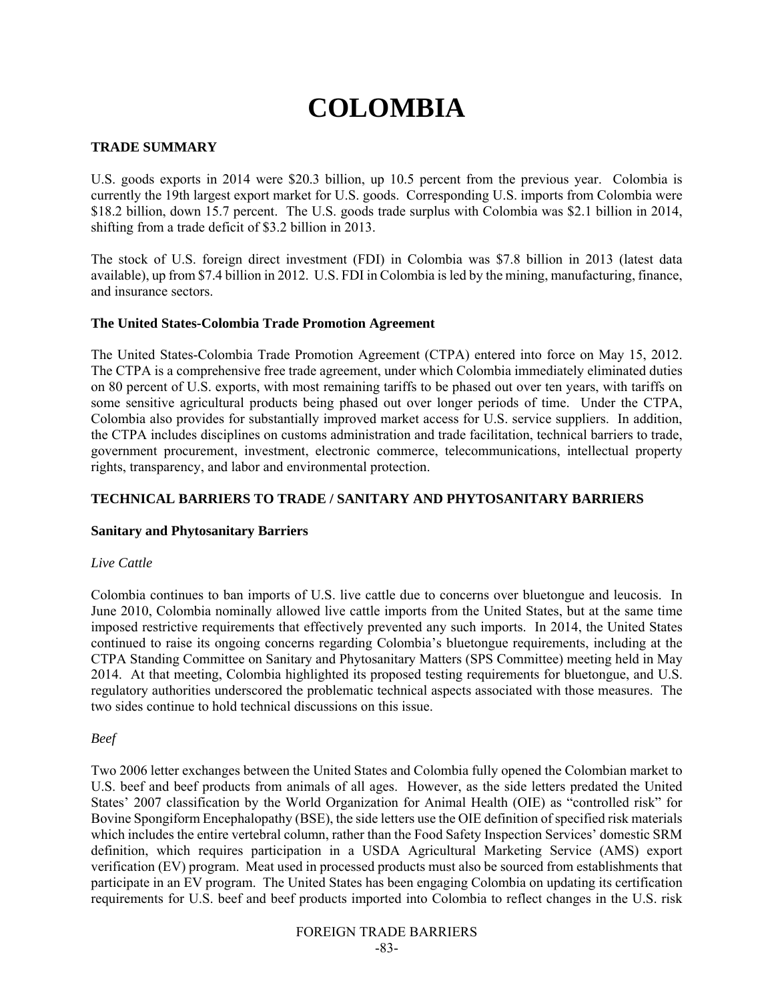# **COLOMBIA**

## **TRADE SUMMARY**

U.S. goods exports in 2014 were \$20.3 billion, up 10.5 percent from the previous year. Colombia is currently the 19th largest export market for U.S. goods. Corresponding U.S. imports from Colombia were \$18.2 billion, down 15.7 percent. The U.S. goods trade surplus with Colombia was \$2.1 billion in 2014, shifting from a trade deficit of \$3.2 billion in 2013.

The stock of U.S. foreign direct investment (FDI) in Colombia was \$7.8 billion in 2013 (latest data available), up from \$7.4 billion in 2012. U.S. FDI in Colombia is led by the mining, manufacturing, finance, and insurance sectors.

## **The United States-Colombia Trade Promotion Agreement**

The United States-Colombia Trade Promotion Agreement (CTPA) entered into force on May 15, 2012. The CTPA is a comprehensive free trade agreement, under which Colombia immediately eliminated duties on 80 percent of U.S. exports, with most remaining tariffs to be phased out over ten years, with tariffs on some sensitive agricultural products being phased out over longer periods of time. Under the CTPA, Colombia also provides for substantially improved market access for U.S. service suppliers. In addition, the CTPA includes disciplines on customs administration and trade facilitation, technical barriers to trade, government procurement, investment, electronic commerce, telecommunications, intellectual property rights, transparency, and labor and environmental protection.

#### **TECHNICAL BARRIERS TO TRADE / SANITARY AND PHYTOSANITARY BARRIERS**

#### **Sanitary and Phytosanitary Barriers**

#### *Live Cattle*

Colombia continues to ban imports of U.S. live cattle due to concerns over bluetongue and leucosis. In June 2010, Colombia nominally allowed live cattle imports from the United States, but at the same time imposed restrictive requirements that effectively prevented any such imports. In 2014, the United States continued to raise its ongoing concerns regarding Colombia's bluetongue requirements, including at the CTPA Standing Committee on Sanitary and Phytosanitary Matters (SPS Committee) meeting held in May 2014. At that meeting, Colombia highlighted its proposed testing requirements for bluetongue, and U.S. regulatory authorities underscored the problematic technical aspects associated with those measures. The two sides continue to hold technical discussions on this issue.

#### *Beef*

Two 2006 letter exchanges between the United States and Colombia fully opened the Colombian market to U.S. beef and beef products from animals of all ages. However, as the side letters predated the United States' 2007 classification by the World Organization for Animal Health (OIE) as "controlled risk" for Bovine Spongiform Encephalopathy (BSE), the side letters use the OIE definition of specified risk materials which includes the entire vertebral column, rather than the Food Safety Inspection Services' domestic SRM definition, which requires participation in a USDA Agricultural Marketing Service (AMS) export verification (EV) program. Meat used in processed products must also be sourced from establishments that participate in an EV program. The United States has been engaging Colombia on updating its certification requirements for U.S. beef and beef products imported into Colombia to reflect changes in the U.S. risk

#### FOREIGN TRADE BARRIERS -83-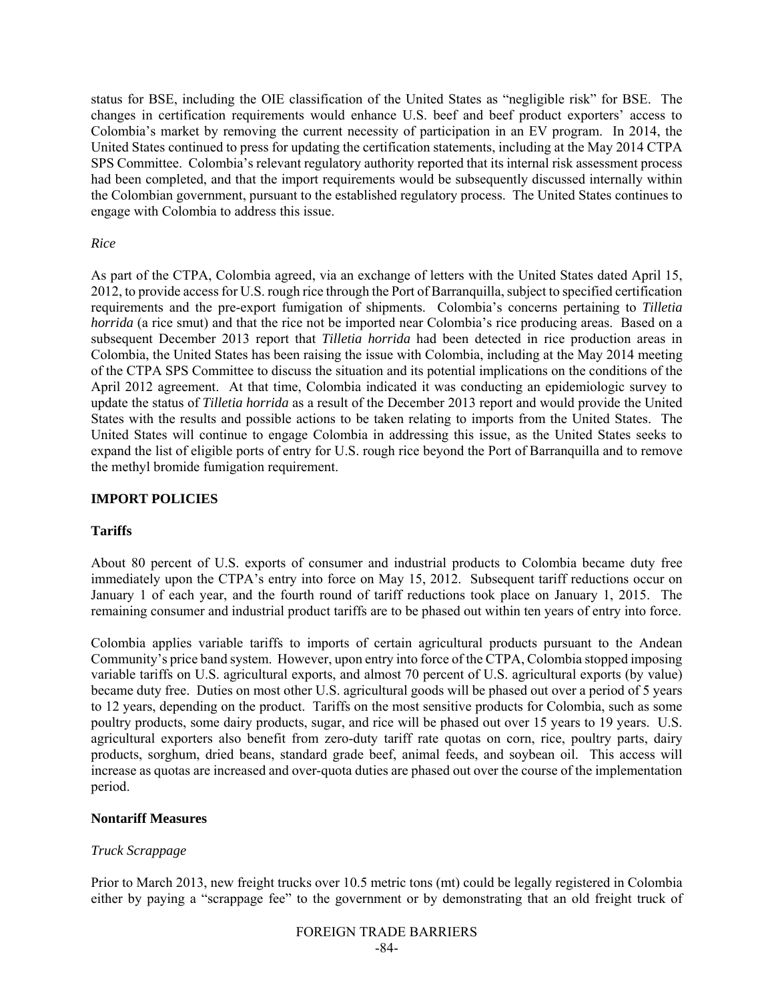status for BSE, including the OIE classification of the United States as "negligible risk" for BSE. The changes in certification requirements would enhance U.S. beef and beef product exporters' access to Colombia's market by removing the current necessity of participation in an EV program. In 2014, the United States continued to press for updating the certification statements, including at the May 2014 CTPA SPS Committee. Colombia's relevant regulatory authority reported that its internal risk assessment process had been completed, and that the import requirements would be subsequently discussed internally within the Colombian government, pursuant to the established regulatory process. The United States continues to engage with Colombia to address this issue.

#### *Rice*

As part of the CTPA, Colombia agreed, via an exchange of letters with the United States dated April 15, 2012, to provide access for U.S. rough rice through the Port of Barranquilla, subject to specified certification requirements and the pre-export fumigation of shipments. Colombia's concerns pertaining to *Tilletia horrida* (a rice smut) and that the rice not be imported near Colombia's rice producing areas. Based on a subsequent December 2013 report that *Tilletia horrida* had been detected in rice production areas in Colombia, the United States has been raising the issue with Colombia, including at the May 2014 meeting of the CTPA SPS Committee to discuss the situation and its potential implications on the conditions of the April 2012 agreement. At that time, Colombia indicated it was conducting an epidemiologic survey to update the status of *Tilletia horrida* as a result of the December 2013 report and would provide the United States with the results and possible actions to be taken relating to imports from the United States. The United States will continue to engage Colombia in addressing this issue, as the United States seeks to expand the list of eligible ports of entry for U.S. rough rice beyond the Port of Barranquilla and to remove the methyl bromide fumigation requirement.

#### **IMPORT POLICIES**

## **Tariffs**

About 80 percent of U.S. exports of consumer and industrial products to Colombia became duty free immediately upon the CTPA's entry into force on May 15, 2012. Subsequent tariff reductions occur on January 1 of each year, and the fourth round of tariff reductions took place on January 1, 2015. The remaining consumer and industrial product tariffs are to be phased out within ten years of entry into force.

Colombia applies variable tariffs to imports of certain agricultural products pursuant to the Andean Community's price band system. However, upon entry into force of the CTPA, Colombia stopped imposing variable tariffs on U.S. agricultural exports, and almost 70 percent of U.S. agricultural exports (by value) became duty free. Duties on most other U.S. agricultural goods will be phased out over a period of 5 years to 12 years, depending on the product. Tariffs on the most sensitive products for Colombia, such as some poultry products, some dairy products, sugar, and rice will be phased out over 15 years to 19 years. U.S. agricultural exporters also benefit from zero-duty tariff rate quotas on corn, rice, poultry parts, dairy products, sorghum, dried beans, standard grade beef, animal feeds, and soybean oil. This access will increase as quotas are increased and over-quota duties are phased out over the course of the implementation period.

#### **Nontariff Measures**

## *Truck Scrappage*

Prior to March 2013, new freight trucks over 10.5 metric tons (mt) could be legally registered in Colombia either by paying a "scrappage fee" to the government or by demonstrating that an old freight truck of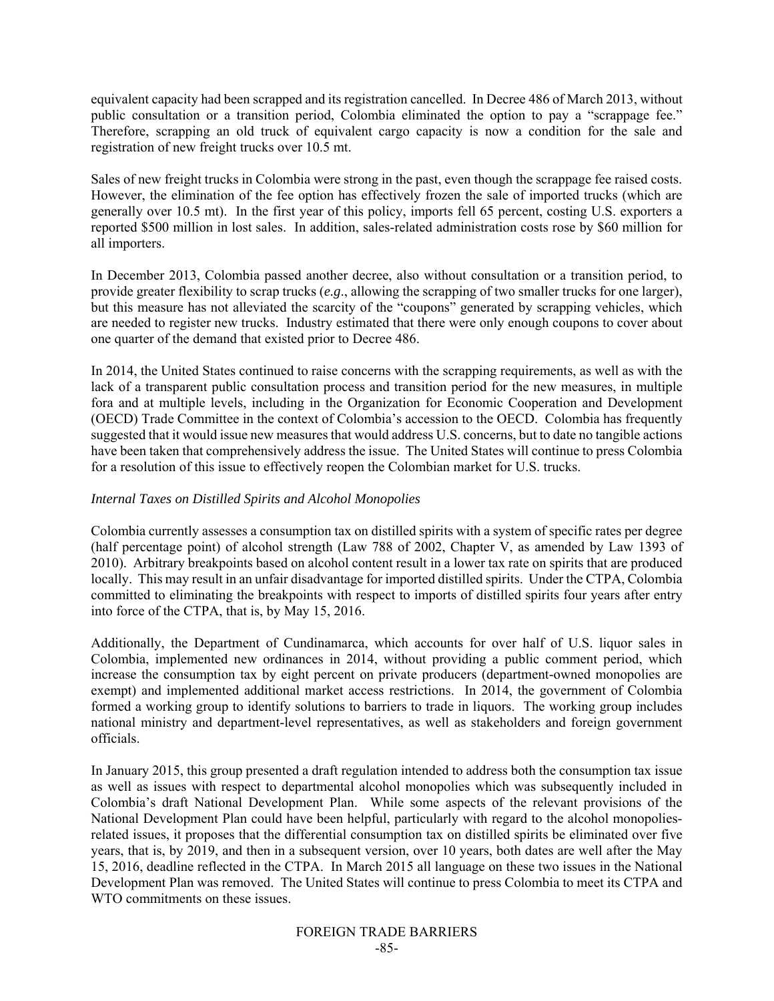equivalent capacity had been scrapped and its registration cancelled. In Decree 486 of March 2013, without public consultation or a transition period, Colombia eliminated the option to pay a "scrappage fee." Therefore, scrapping an old truck of equivalent cargo capacity is now a condition for the sale and registration of new freight trucks over 10.5 mt.

Sales of new freight trucks in Colombia were strong in the past, even though the scrappage fee raised costs. However, the elimination of the fee option has effectively frozen the sale of imported trucks (which are generally over 10.5 mt). In the first year of this policy, imports fell 65 percent, costing U.S. exporters a reported \$500 million in lost sales. In addition, sales-related administration costs rose by \$60 million for all importers.

In December 2013, Colombia passed another decree, also without consultation or a transition period, to provide greater flexibility to scrap trucks (*e.g*., allowing the scrapping of two smaller trucks for one larger), but this measure has not alleviated the scarcity of the "coupons" generated by scrapping vehicles, which are needed to register new trucks. Industry estimated that there were only enough coupons to cover about one quarter of the demand that existed prior to Decree 486.

In 2014, the United States continued to raise concerns with the scrapping requirements, as well as with the lack of a transparent public consultation process and transition period for the new measures, in multiple fora and at multiple levels, including in the Organization for Economic Cooperation and Development (OECD) Trade Committee in the context of Colombia's accession to the OECD. Colombia has frequently suggested that it would issue new measures that would address U.S. concerns, but to date no tangible actions have been taken that comprehensively address the issue. The United States will continue to press Colombia for a resolution of this issue to effectively reopen the Colombian market for U.S. trucks.

## *Internal Taxes on Distilled Spirits and Alcohol Monopolies*

Colombia currently assesses a consumption tax on distilled spirits with a system of specific rates per degree (half percentage point) of alcohol strength (Law 788 of 2002, Chapter V, as amended by Law 1393 of 2010). Arbitrary breakpoints based on alcohol content result in a lower tax rate on spirits that are produced locally. This may result in an unfair disadvantage for imported distilled spirits. Under the CTPA, Colombia committed to eliminating the breakpoints with respect to imports of distilled spirits four years after entry into force of the CTPA, that is, by May 15, 2016.

Additionally, the Department of Cundinamarca, which accounts for over half of U.S. liquor sales in Colombia, implemented new ordinances in 2014, without providing a public comment period, which increase the consumption tax by eight percent on private producers (department-owned monopolies are exempt) and implemented additional market access restrictions. In 2014, the government of Colombia formed a working group to identify solutions to barriers to trade in liquors. The working group includes national ministry and department-level representatives, as well as stakeholders and foreign government officials.

In January 2015, this group presented a draft regulation intended to address both the consumption tax issue as well as issues with respect to departmental alcohol monopolies which was subsequently included in Colombia's draft National Development Plan. While some aspects of the relevant provisions of the National Development Plan could have been helpful, particularly with regard to the alcohol monopoliesrelated issues, it proposes that the differential consumption tax on distilled spirits be eliminated over five years, that is, by 2019, and then in a subsequent version, over 10 years, both dates are well after the May 15, 2016, deadline reflected in the CTPA. In March 2015 all language on these two issues in the National Development Plan was removed. The United States will continue to press Colombia to meet its CTPA and WTO commitments on these issues.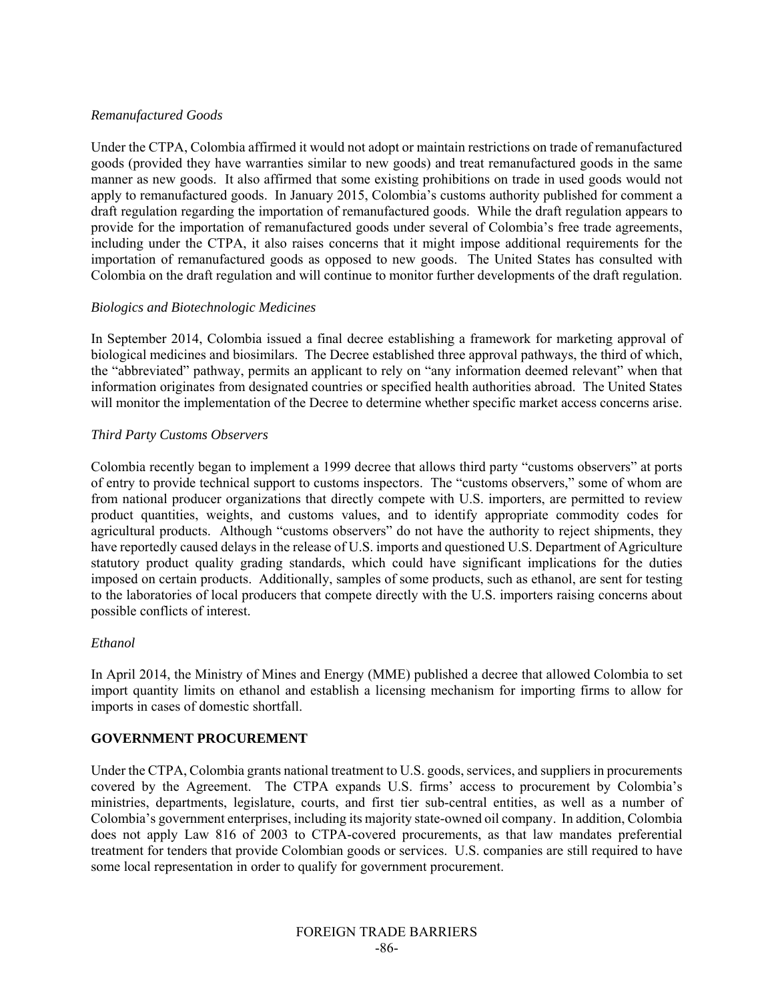# *Remanufactured Goods*

Under the CTPA, Colombia affirmed it would not adopt or maintain restrictions on trade of remanufactured goods (provided they have warranties similar to new goods) and treat remanufactured goods in the same manner as new goods. It also affirmed that some existing prohibitions on trade in used goods would not apply to remanufactured goods. In January 2015, Colombia's customs authority published for comment a draft regulation regarding the importation of remanufactured goods. While the draft regulation appears to provide for the importation of remanufactured goods under several of Colombia's free trade agreements, including under the CTPA, it also raises concerns that it might impose additional requirements for the importation of remanufactured goods as opposed to new goods. The United States has consulted with Colombia on the draft regulation and will continue to monitor further developments of the draft regulation.

# *Biologics and Biotechnologic Medicines*

In September 2014, Colombia issued a final decree establishing a framework for marketing approval of biological medicines and biosimilars. The Decree established three approval pathways, the third of which, the "abbreviated" pathway, permits an applicant to rely on "any information deemed relevant" when that information originates from designated countries or specified health authorities abroad. The United States will monitor the implementation of the Decree to determine whether specific market access concerns arise.

# *Third Party Customs Observers*

Colombia recently began to implement a 1999 decree that allows third party "customs observers" at ports of entry to provide technical support to customs inspectors. The "customs observers," some of whom are from national producer organizations that directly compete with U.S. importers, are permitted to review product quantities, weights, and customs values, and to identify appropriate commodity codes for agricultural products. Although "customs observers" do not have the authority to reject shipments, they have reportedly caused delays in the release of U.S. imports and questioned U.S. Department of Agriculture statutory product quality grading standards, which could have significant implications for the duties imposed on certain products. Additionally, samples of some products, such as ethanol, are sent for testing to the laboratories of local producers that compete directly with the U.S. importers raising concerns about possible conflicts of interest.

## *Ethanol*

In April 2014, the Ministry of Mines and Energy (MME) published a decree that allowed Colombia to set import quantity limits on ethanol and establish a licensing mechanism for importing firms to allow for imports in cases of domestic shortfall.

# **GOVERNMENT PROCUREMENT**

Under the CTPA, Colombia grants national treatment to U.S. goods, services, and suppliers in procurements covered by the Agreement. The CTPA expands U.S. firms' access to procurement by Colombia's ministries, departments, legislature, courts, and first tier sub-central entities, as well as a number of Colombia's government enterprises, including its majority state-owned oil company. In addition, Colombia does not apply Law 816 of 2003 to CTPA-covered procurements, as that law mandates preferential treatment for tenders that provide Colombian goods or services. U.S. companies are still required to have some local representation in order to qualify for government procurement.